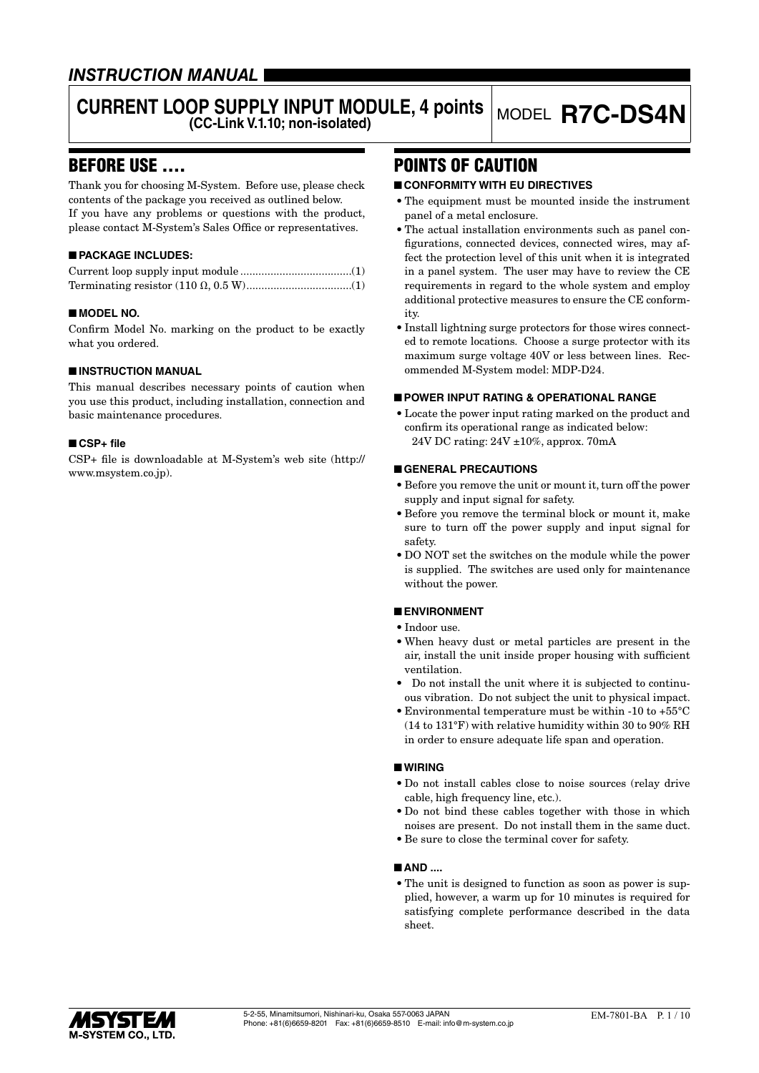# *INSTRUCTION MANUAL*

# **CURRENT LOOP SUPPLY INPUT MODULE, 4 points**

# BEFORE USE ....

Thank you for choosing M-System. Before use, please check contents of the package you received as outlined below. If you have any problems or questions with the product, please contact M-System's Sales Office or representatives.

### ■ **PACKAGE INCLUDES:**

### ■ **MODEL NO.**

Confirm Model No. marking on the product to be exactly what you ordered.

#### ■ **INSTRUCTION MANUAL**

This manual describes necessary points of caution when you use this product, including installation, connection and basic maintenance procedures.

#### ■ **CSP+ file**

CSP+ file is downloadable at M-System's web site (http:// www.msystem.co.jp).

# POINTS OF CAUTION

### ■ **CONFORMITY WITH EU DIRECTIVES**

• The equipment must be mounted inside the instrument panel of a metal enclosure.

**MODEL R7C-DS4N** 

- The actual installation environments such as panel configurations, connected devices, connected wires, may affect the protection level of this unit when it is integrated in a panel system. The user may have to review the CE requirements in regard to the whole system and employ additional protective measures to ensure the CE conformity.
- Install lightning surge protectors for those wires connected to remote locations. Choose a surge protector with its maximum surge voltage 40V or less between lines. Recommended M-System model: MDP-D24.

#### ■ **POWER INPUT RATING & OPERATIONAL RANGE**

• Locate the power input rating marked on the product and confirm its operational range as indicated below: 24V DC rating: 24V ±10%, approx. 70mA

### ■ **GENERAL PRECAUTIONS**

- Before you remove the unit or mount it, turn off the power supply and input signal for safety.
- Before you remove the terminal block or mount it, make sure to turn off the power supply and input signal for safety.
- DO NOT set the switches on the module while the power is supplied. The switches are used only for maintenance without the power.

#### ■ **ENVIRONMENT**

- Indoor use.
- When heavy dust or metal particles are present in the air, install the unit inside proper housing with sufficient ventilation.
- Do not install the unit where it is subjected to continuous vibration. Do not subject the unit to physical impact.
- Environmental temperature must be within -10 to +55°C (14 to 131°F) with relative humidity within 30 to 90% RH in order to ensure adequate life span and operation.

#### ■ **WIRING**

- Do not install cables close to noise sources (relay drive cable, high frequency line, etc.).
- Do not bind these cables together with those in which noises are present. Do not install them in the same duct.
- Be sure to close the terminal cover for safety.

#### ■ **AND ....**

• The unit is designed to function as soon as power is supplied, however, a warm up for 10 minutes is required for satisfying complete performance described in the data sheet.

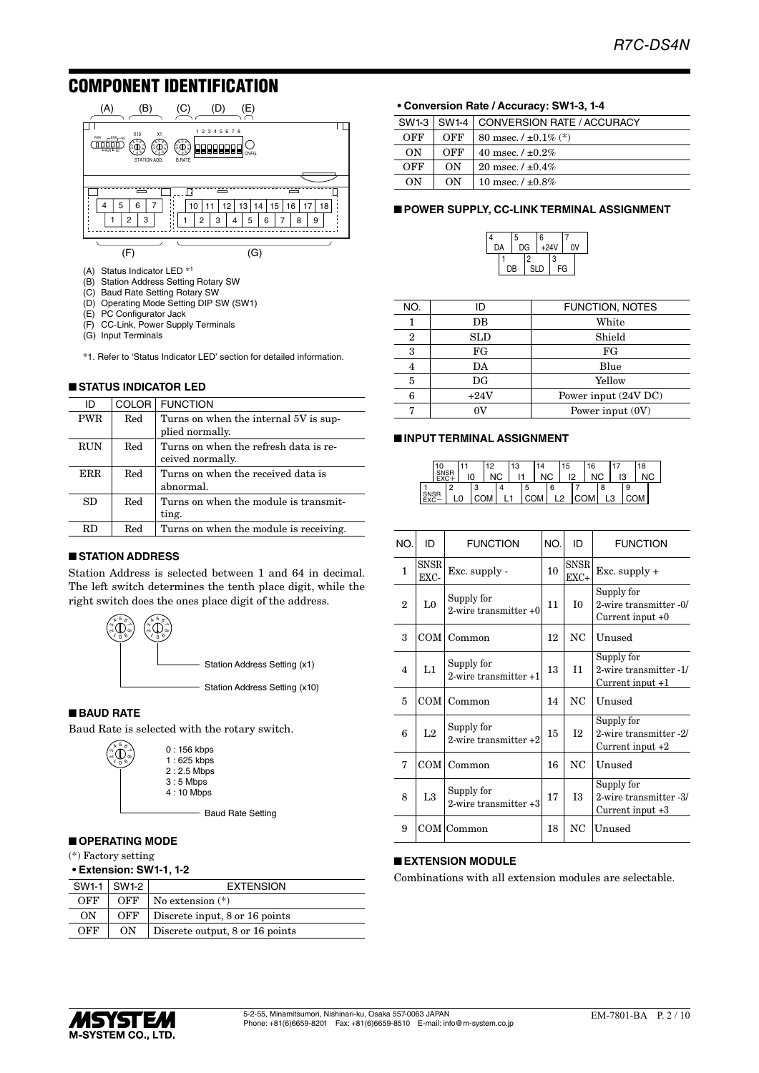# COMPONENT IDENTIFICATION



- (B) Station Address Setting Rotary SW
- (C) Baud Rate Setting Rotary SW
- (D) Operating Mode Setting DIP SW (SW1)
- (E) PC Configurator Jack
- (F) CC-Link, Power Supply Terminals
- (G) Input Terminals

\*1. Refer to 'Status Indicator LED' section for detailed information.

### ■ **STATUS INDICATOR LED**

| ID         |              | COLOR FUNCTION                                            |
|------------|--------------|-----------------------------------------------------------|
| <b>PWR</b> | Red          | Turns on when the internal 5V is sup-<br>plied normally.  |
| <b>RUN</b> | Red          | Turns on when the refresh data is re-<br>ceived normally. |
| ERR        | Red          | Turns on when the received data is<br>abnormal.           |
| SD         | Red          | Turns on when the module is transmit-<br>ting.            |
| RD.        | $_{\rm Red}$ | Turns on when the module is receiving.                    |

#### ■ **STATION ADDRESS**

Station Address is selected between 1 and 64 in decimal. The left switch determines the tenth place digit, while the right switch does the ones place digit of the address.



#### ■ **BAUD RATE**

ო  $\sigma$ 

Baud Rate is selected with the rotary switch.



- Baud Rate Setting

#### ■ **OPERATING MODE**

(\*) Factory setting

**• Extension: SW1-1, 1-2**

|     | $SW1-1$ SW1-2 | <b>EXTENSION</b>                |
|-----|---------------|---------------------------------|
| OFF | OFF           | No extension $(*)$              |
| OΝ  | OFF           | Discrete input, 8 or 16 points  |
| OFF | ON            | Discrete output, 8 or 16 points |

#### **• Conversion Rate / Accuracy: SW1-3, 1-4**

|     | SW1-3   SW1-4 | <b>CONVERSION RATE / ACCURACY</b> |
|-----|---------------|-----------------------------------|
| OFF | OFF           | 80 msec. $/ \pm 0.1\%$ (*)        |
| ON  | OFF           | 40 msec. $/ \pm 0.2\%$            |
| OFF | ON            | 20 msec. $/ \pm 0.4\%$            |
| OΝ  | ON            | 10 msec. $/ \pm 0.8\%$            |

#### ■ **POWER SUPPLY, CC-LINK TERMINAL ASSIGNMENT**



| NO.            | ID          | FUNCTION, NOTES      |
|----------------|-------------|----------------------|
|                | DB          | White                |
| $\overline{2}$ | SLD         | Shield               |
| 3              | FG          | FG                   |
| 4              | DA          | Blue                 |
| 5              | $_{\rm DG}$ | Yellow               |
| 6              | $+24V$      | Power input (24V DC) |
| Η,             | ۵V          | Power input (0V)     |

#### ■ **INPUT TERMINAL ASSIGNMENT**

|  |          |        | $\overline{10}$<br>c | 3 |   |    |   | 15 |   | 6  |              |    |   | 18 |  |
|--|----------|--------|----------------------|---|---|----|---|----|---|----|--------------|----|---|----|--|
|  |          |        |                      | ы |   |    |   |    | o |    |              | ں، |   |    |  |
|  | $\Omega$ | o<br>o |                      |   | с |    | 6 |    |   |    | $\circ$<br>o |    | 9 |    |  |
|  |          |        | ,                    |   |   | ገሉ |   | ◠  |   | OМ |              |    |   |    |  |

| NO.          | ID                  | <b>FUNCTION</b>                          | NO. | ID                    | <b>FUNCTION</b>                                            |
|--------------|---------------------|------------------------------------------|-----|-----------------------|------------------------------------------------------------|
| 1            | <b>SNSR</b><br>EXC- | Exc. supply -                            | 10  | <b>SNSR</b><br>$EXC+$ | Exc. supply $+$                                            |
| $\mathbf{2}$ | L0                  | Supply for<br>2-wire transmitter $+0$    | 11  | T <sub>0</sub>        | Supply for<br>2-wire transmitter -0/<br>Current input $+0$ |
| 3            |                     | $COM$   Common                           | 12  | NC                    | Unused                                                     |
| 4            | L1                  | Supply for<br>$2$ -wire transmitter $+1$ | 13  | I1                    | Supply for<br>2-wire transmitter -1/<br>Current input $+1$ |
| 5            | COM                 | Common                                   | 14  | NC                    | Unused                                                     |
| 6            | L <sub>2</sub>      | Supply for<br>2-wire transmitter $+2$    | 15  | I <sub>2</sub>        | Supply for<br>2-wire transmitter -2/<br>Current input $+2$ |
| 7            | COM                 | Common                                   | 16  | NC                    | Unused                                                     |
| 8            | L <sub>3</sub>      | Supply for<br>2-wire transmitter +3      | 17  | <b>I3</b>             | Supply for<br>2-wire transmitter -3/<br>Current input $+3$ |
| 9            |                     | COM Common                               | 18  | NC                    | Unused                                                     |

### ■ **EXTENSION MODULE**

Combinations with all extension modules are selectable.

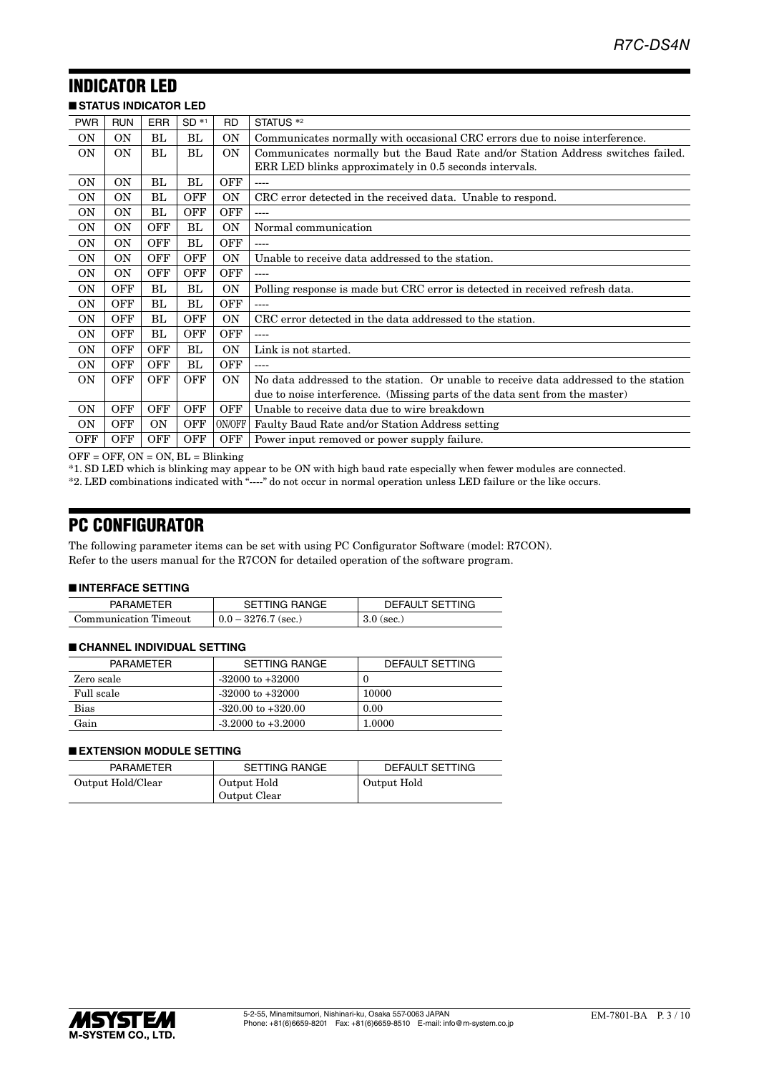#### INDICATOR LED ■ **STATUS INDICATOR LED**

| <b>SIAIUS INDICAIOR LED</b> |            |            |            |            |                                                                                      |
|-----------------------------|------------|------------|------------|------------|--------------------------------------------------------------------------------------|
| <b>PWR</b>                  | <b>RUN</b> | <b>ERR</b> | $SD *1$    | <b>RD</b>  | STATUS <sup>*2</sup>                                                                 |
| 0N                          | <b>ON</b>  | BL         | BL         | ON         | Communicates normally with occasional CRC errors due to noise interference.          |
| <b>ON</b>                   | <b>ON</b>  | BL         | BL         | <b>ON</b>  | Communicates normally but the Baud Rate and/or Station Address switches failed.      |
|                             |            |            |            |            | ERR LED blinks approximately in 0.5 seconds intervals.                               |
| <b>ON</b>                   | <b>ON</b>  | BL         | BL         | <b>OFF</b> | ----                                                                                 |
| <b>ON</b>                   | <b>ON</b>  | BL         | <b>OFF</b> | <b>ON</b>  | CRC error detected in the received data. Unable to respond.                          |
| <b>ON</b>                   | <b>ON</b>  | BL         | <b>OFF</b> | <b>OFF</b> | $---$                                                                                |
| <b>ON</b>                   | <b>ON</b>  | <b>OFF</b> | BL         | <b>ON</b>  | Normal communication                                                                 |
| <b>ON</b>                   | <b>ON</b>  | <b>OFF</b> | BL         | <b>OFF</b> |                                                                                      |
| <b>ON</b>                   | <b>ON</b>  | <b>OFF</b> | OFF        | ON         | Unable to receive data addressed to the station.                                     |
| <b>ON</b>                   | 0N         | <b>OFF</b> | <b>OFF</b> | <b>OFF</b> | ----                                                                                 |
| <b>ON</b>                   | <b>OFF</b> | BL         | BL         | <b>ON</b>  | Polling response is made but CRC error is detected in received refresh data.         |
| 0N                          | <b>OFF</b> | BL         | BL         | <b>OFF</b> | ----                                                                                 |
| 0N                          | <b>OFF</b> | BL         | <b>OFF</b> | <b>ON</b>  | CRC error detected in the data addressed to the station.                             |
| <b>ON</b>                   | <b>OFF</b> | BL         | <b>OFF</b> | <b>OFF</b> | ----                                                                                 |
| <b>ON</b>                   | <b>OFF</b> | OFF        | BL         | <b>ON</b>  | Link is not started.                                                                 |
| <b>ON</b>                   | <b>OFF</b> | <b>OFF</b> | BL         | OFF        | ----                                                                                 |
| <b>ON</b>                   | <b>OFF</b> | OFF        | <b>OFF</b> | <b>ON</b>  | No data addressed to the station. Or unable to receive data addressed to the station |
|                             |            |            |            |            | due to noise interference. (Missing parts of the data sent from the master)          |
| <b>ON</b>                   | <b>OFF</b> | OFF        | <b>OFF</b> | <b>OFF</b> | Unable to receive data due to wire breakdown                                         |
| 0N                          | <b>OFF</b> | <b>ON</b>  | <b>OFF</b> | ON/OFF     | Faulty Baud Rate and/or Station Address setting                                      |
| <b>OFF</b>                  | <b>OFF</b> | <b>OFF</b> | <b>OFF</b> | <b>OFF</b> | Power input removed or power supply failure.                                         |

 $OFF = OFF$ ,  $ON = ON$ ,  $BL = Blinking$ 

\*1. SD LED which is blinking may appear to be ON with high baud rate especially when fewer modules are connected.

\*2. LED combinations indicated with "----" do not occur in normal operation unless LED failure or the like occurs.

# PC CONFIGURATOR

The following parameter items can be set with using PC Configurator Software (model: R7CON). Refer to the users manual for the R7CON for detailed operation of the software program.

#### ■ **INTERFACE SETTING**

| ____________________________ |                       |                 |
|------------------------------|-----------------------|-----------------|
| <b>PARAMETER</b>             | <b>SETTING RANGE</b>  | DEFAULT SETTING |
| Communication Timeout        | $0.0 - 3276.7$ (sec.) | $3.0$ (sec.)    |

#### ■ **CHANNEL INDIVIDUAL SETTING**

| PARAMETER  | SETTING RANGE          | DEFAULT SETTING |
|------------|------------------------|-----------------|
| Zero scale | $-32000$ to $+32000$   |                 |
| Full scale | $-32000$ to $+32000$   | 10000           |
| Bias       | $-320.00$ to $+320.00$ | 0.00            |
| Gain       | $-3.2000$ to $+3.2000$ | 1.0000          |

#### ■ **EXTENSION MODULE SETTING**

| <b>PARAMETER</b>  | <b>SETTING RANGE</b> | DEFAULT SETTING |
|-------------------|----------------------|-----------------|
| Output Hold/Clear | Output Hold          | Output Hold     |
|                   | Output Clear         |                 |

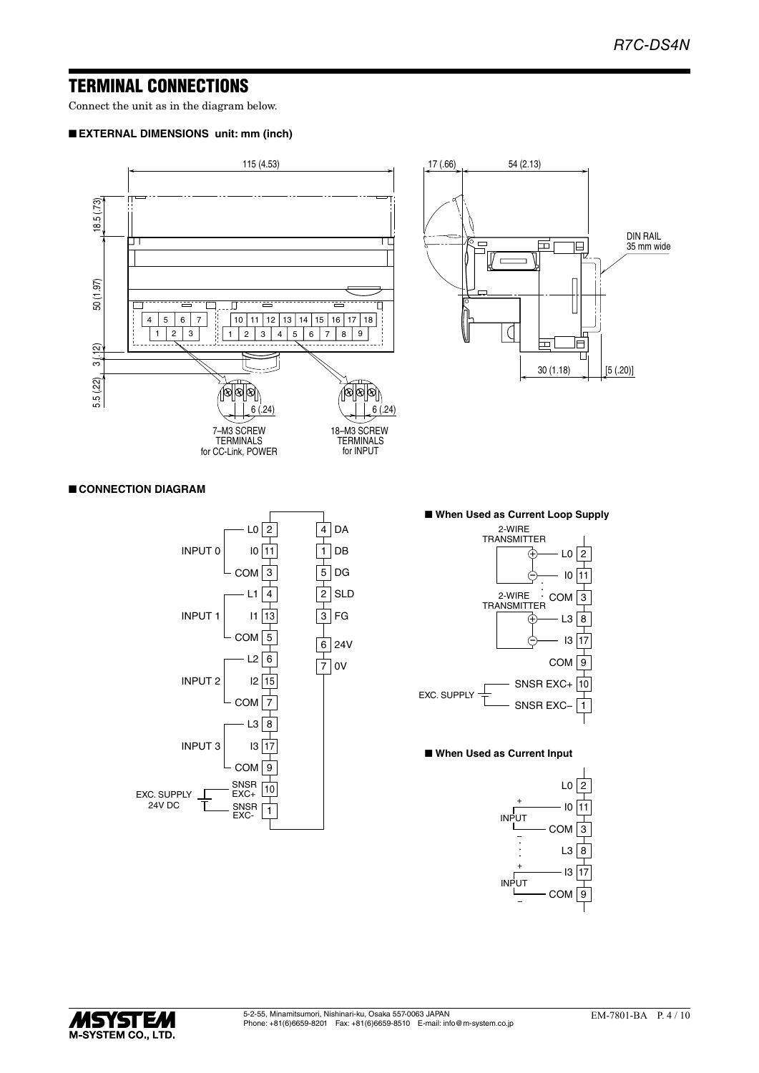# TERMINAL CONNECTIONS

Connect the unit as in the diagram below.

#### ■ **EXTERNAL DIMENSIONS unit: mm (inch)**



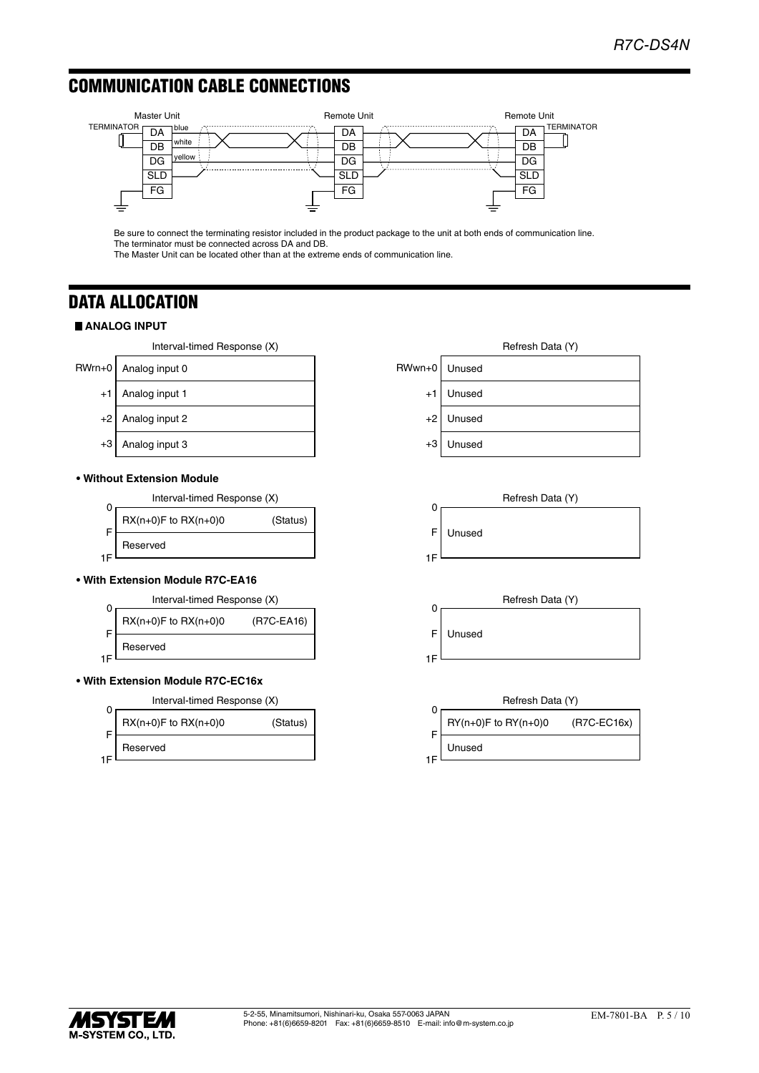# COMMUNICATION CABLE CONNECTIONS



Be sure to connect the terminating resistor included in the product package to the unit at both ends of communication line. The terminator must be connected across DA and DB.

The Master Unit can be located other than at the extreme ends of communication line.

# DATA ALLOCATION

### **ANALOG INPUT**

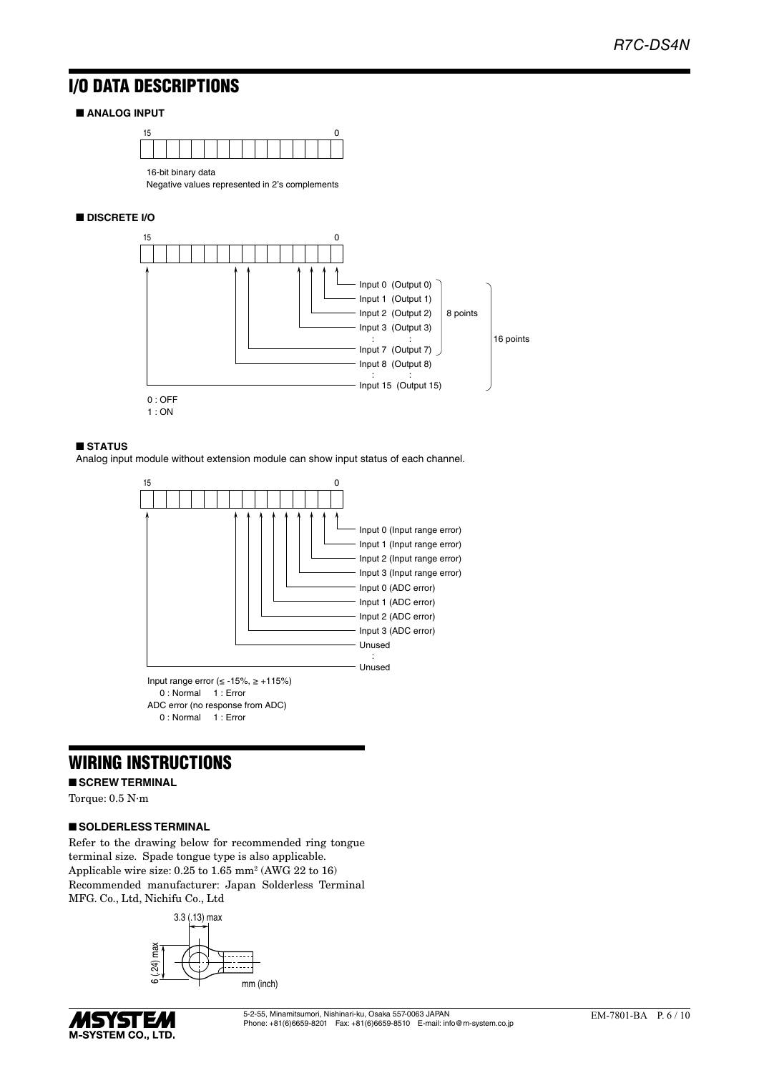# I/O DATA DESCRIPTIONS

### ■ **ANALOG INPUT**



Negative values represented in 2's complements

### ■ **DISCRETE I/O**



#### ■ **STATUS**

Analog input module without extension module can show input status of each channel.



# WIRING INSTRUCTIONS

#### ■ **SCREW TERMINAL**

Torque: 0.5 N·m

#### ■ **SOLDERLESS TERMINAL**

Refer to the drawing below for recommended ring tongue terminal size. Spade tongue type is also applicable. Applicable wire size: 0.25 to 1.65 mm<sup>2</sup> (AWG 22 to 16) Recommended manufacturer: Japan Solderless Terminal MFG. Co., Ltd, Nichifu Co., Ltd



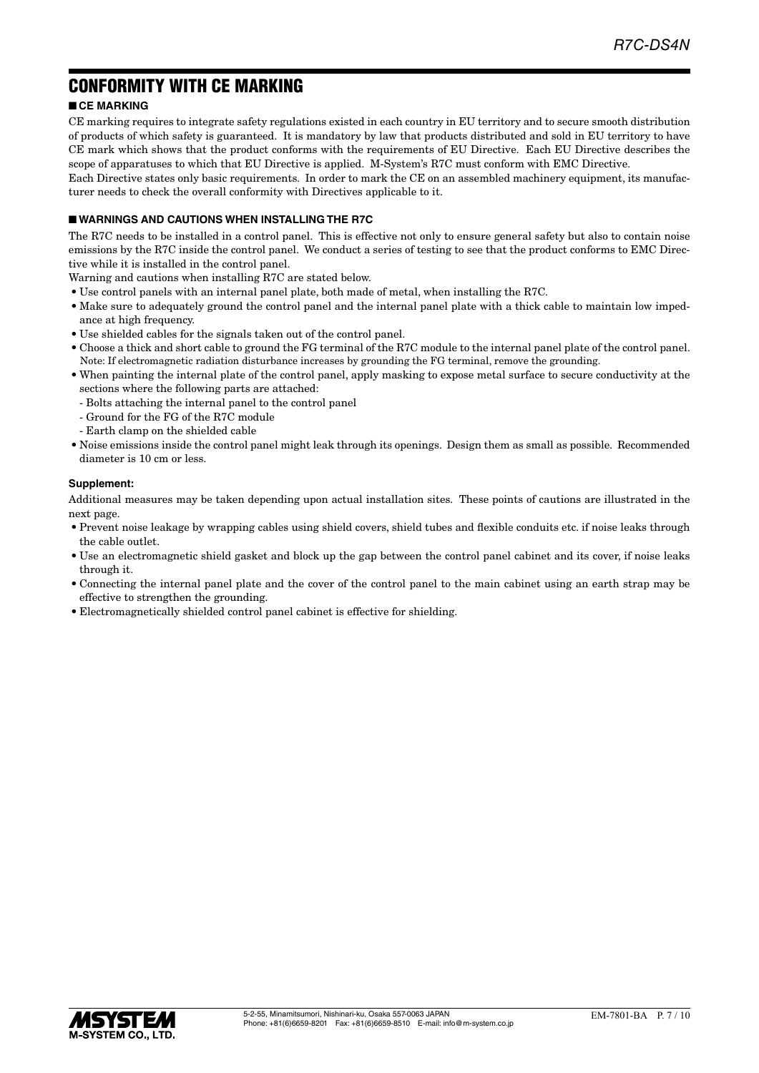# CONFORMITY WITH CE MARKING

### ■ **CE MARKING**

CE marking requires to integrate safety regulations existed in each country in EU territory and to secure smooth distribution of products of which safety is guaranteed. It is mandatory by law that products distributed and sold in EU territory to have CE mark which shows that the product conforms with the requirements of EU Directive. Each EU Directive describes the scope of apparatuses to which that EU Directive is applied. M-System's R7C must conform with EMC Directive.

Each Directive states only basic requirements. In order to mark the CE on an assembled machinery equipment, its manufacturer needs to check the overall conformity with Directives applicable to it.

### ■ **WARNINGS AND CAUTIONS WHEN INSTALLING THE R7C**

The R7C needs to be installed in a control panel. This is effective not only to ensure general safety but also to contain noise emissions by the R7C inside the control panel. We conduct a series of testing to see that the product conforms to EMC Directive while it is installed in the control panel.

Warning and cautions when installing R7C are stated below.

- Use control panels with an internal panel plate, both made of metal, when installing the R7C.
- Make sure to adequately ground the control panel and the internal panel plate with a thick cable to maintain low impedance at high frequency.
- Use shielded cables for the signals taken out of the control panel.
- Choose a thick and short cable to ground the FG terminal of the R7C module to the internal panel plate of the control panel. Note: If electromagnetic radiation disturbance increases by grounding the FG terminal, remove the grounding.
- When painting the internal plate of the control panel, apply masking to expose metal surface to secure conductivity at the sections where the following parts are attached:
	- Bolts attaching the internal panel to the control panel
	- Ground for the FG of the R7C module
	- Earth clamp on the shielded cable
- Noise emissions inside the control panel might leak through its openings. Design them as small as possible. Recommended diameter is 10 cm or less.

#### **Supplement:**

Additional measures may be taken depending upon actual installation sites. These points of cautions are illustrated in the next page.

- Prevent noise leakage by wrapping cables using shield covers, shield tubes and flexible conduits etc. if noise leaks through the cable outlet.
- Use an electromagnetic shield gasket and block up the gap between the control panel cabinet and its cover, if noise leaks through it.
- Connecting the internal panel plate and the cover of the control panel to the main cabinet using an earth strap may be effective to strengthen the grounding.
- Electromagnetically shielded control panel cabinet is effective for shielding.

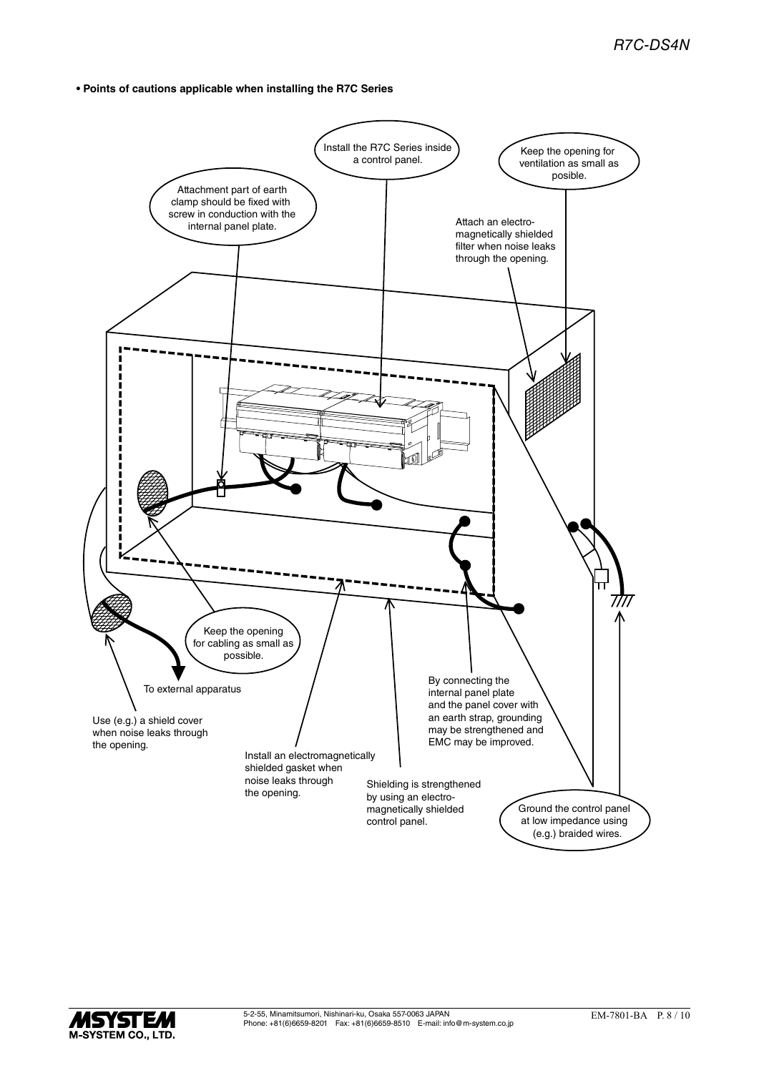**• Points of cautions applicable when installing the R7C Series**



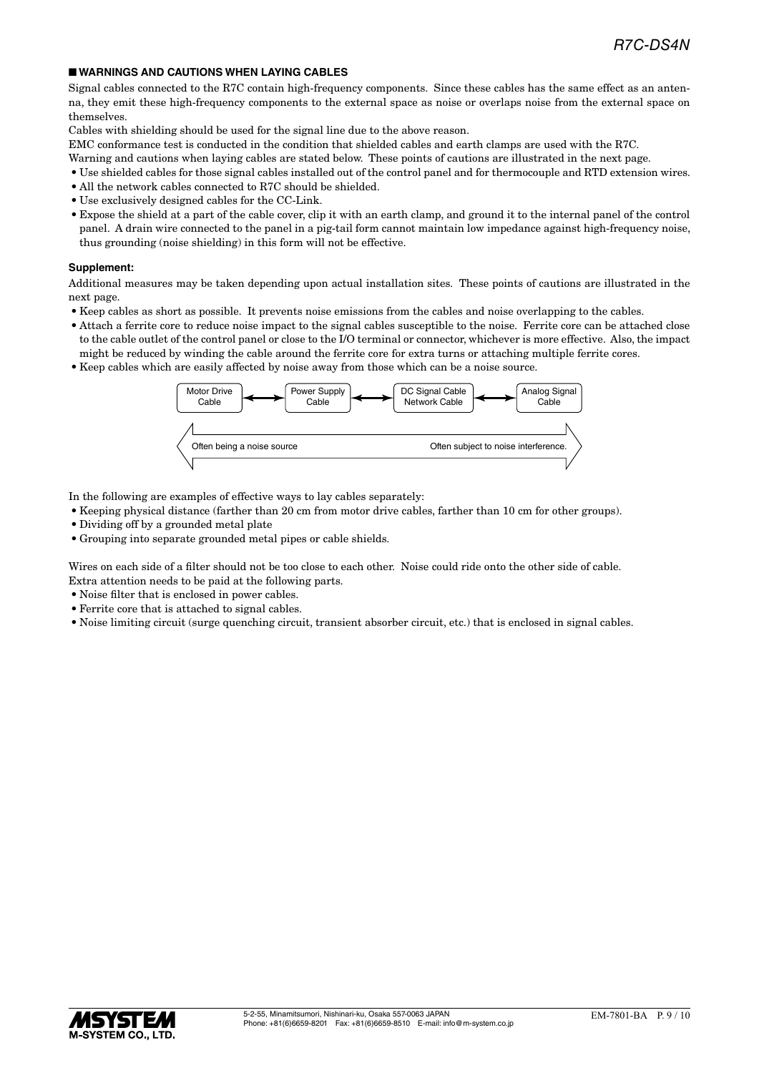#### ■ **WARNINGS AND CAUTIONS WHEN LAYING CABLES**

Signal cables connected to the R7C contain high-frequency components. Since these cables has the same effect as an antenna, they emit these high-frequency components to the external space as noise or overlaps noise from the external space on themselves.

Cables with shielding should be used for the signal line due to the above reason.

EMC conformance test is conducted in the condition that shielded cables and earth clamps are used with the R7C.

- Warning and cautions when laying cables are stated below. These points of cautions are illustrated in the next page.
- Use shielded cables for those signal cables installed out of the control panel and for thermocouple and RTD extension wires.
- All the network cables connected to R7C should be shielded.
- Use exclusively designed cables for the CC-Link.
- Expose the shield at a part of the cable cover, clip it with an earth clamp, and ground it to the internal panel of the control panel. A drain wire connected to the panel in a pig-tail form cannot maintain low impedance against high-frequency noise, thus grounding (noise shielding) in this form will not be effective.

#### **Supplement:**

Additional measures may be taken depending upon actual installation sites. These points of cautions are illustrated in the next page.

- Keep cables as short as possible. It prevents noise emissions from the cables and noise overlapping to the cables.
- Attach a ferrite core to reduce noise impact to the signal cables susceptible to the noise. Ferrite core can be attached close to the cable outlet of the control panel or close to the I/O terminal or connector, whichever is more effective. Also, the impact might be reduced by winding the cable around the ferrite core for extra turns or attaching multiple ferrite cores.
- Keep cables which are easily affected by noise away from those which can be a noise source.



In the following are examples of effective ways to lay cables separately:

- Keeping physical distance (farther than 20 cm from motor drive cables, farther than 10 cm for other groups).
- Dividing off by a grounded metal plate
- Grouping into separate grounded metal pipes or cable shields.

Wires on each side of a filter should not be too close to each other. Noise could ride onto the other side of cable. Extra attention needs to be paid at the following parts.

- Noise filter that is enclosed in power cables.
- Ferrite core that is attached to signal cables.
- Noise limiting circuit (surge quenching circuit, transient absorber circuit, etc.) that is enclosed in signal cables.